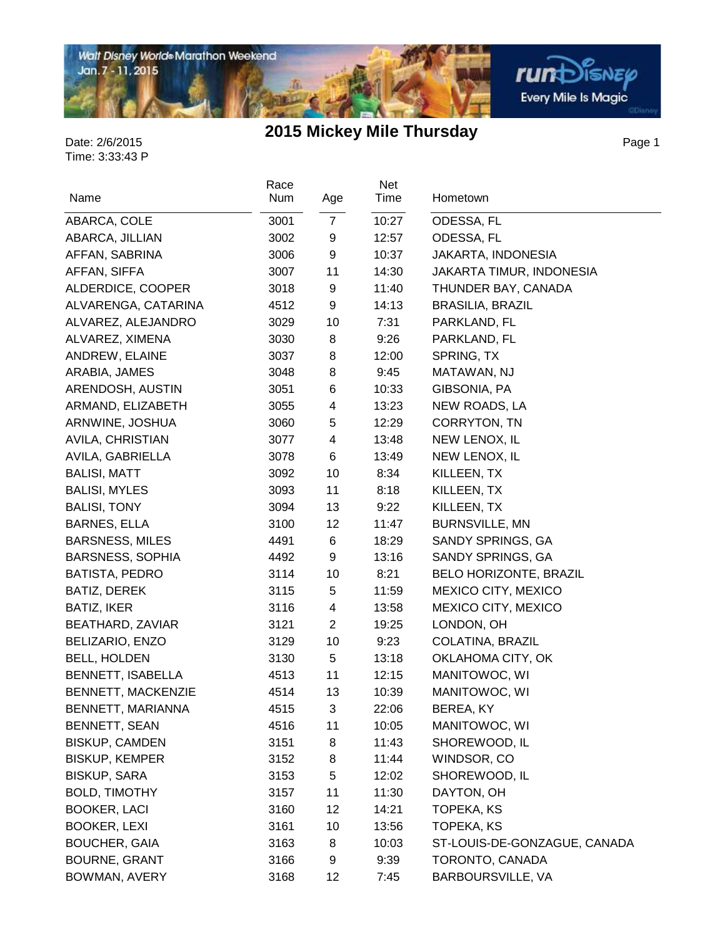

Page 1

| Race<br>Num |                                                                                                                                                                                                                                                                                                                      | Net<br>Time                                                                                                                                                                                                                                     | Hometown                                                                                                                                                                                                                                                                                                                                           |
|-------------|----------------------------------------------------------------------------------------------------------------------------------------------------------------------------------------------------------------------------------------------------------------------------------------------------------------------|-------------------------------------------------------------------------------------------------------------------------------------------------------------------------------------------------------------------------------------------------|----------------------------------------------------------------------------------------------------------------------------------------------------------------------------------------------------------------------------------------------------------------------------------------------------------------------------------------------------|
|             |                                                                                                                                                                                                                                                                                                                      |                                                                                                                                                                                                                                                 | ODESSA, FL                                                                                                                                                                                                                                                                                                                                         |
|             |                                                                                                                                                                                                                                                                                                                      |                                                                                                                                                                                                                                                 | ODESSA, FL                                                                                                                                                                                                                                                                                                                                         |
|             |                                                                                                                                                                                                                                                                                                                      |                                                                                                                                                                                                                                                 | JAKARTA, INDONESIA                                                                                                                                                                                                                                                                                                                                 |
|             |                                                                                                                                                                                                                                                                                                                      |                                                                                                                                                                                                                                                 | JAKARTA TIMUR, INDONESIA                                                                                                                                                                                                                                                                                                                           |
|             |                                                                                                                                                                                                                                                                                                                      |                                                                                                                                                                                                                                                 | THUNDER BAY, CANADA                                                                                                                                                                                                                                                                                                                                |
|             |                                                                                                                                                                                                                                                                                                                      |                                                                                                                                                                                                                                                 | <b>BRASILIA, BRAZIL</b>                                                                                                                                                                                                                                                                                                                            |
|             |                                                                                                                                                                                                                                                                                                                      |                                                                                                                                                                                                                                                 | PARKLAND, FL                                                                                                                                                                                                                                                                                                                                       |
|             |                                                                                                                                                                                                                                                                                                                      |                                                                                                                                                                                                                                                 | PARKLAND, FL                                                                                                                                                                                                                                                                                                                                       |
|             |                                                                                                                                                                                                                                                                                                                      |                                                                                                                                                                                                                                                 | SPRING, TX                                                                                                                                                                                                                                                                                                                                         |
|             |                                                                                                                                                                                                                                                                                                                      |                                                                                                                                                                                                                                                 | MATAWAN, NJ                                                                                                                                                                                                                                                                                                                                        |
|             |                                                                                                                                                                                                                                                                                                                      |                                                                                                                                                                                                                                                 | GIBSONIA, PA                                                                                                                                                                                                                                                                                                                                       |
|             |                                                                                                                                                                                                                                                                                                                      |                                                                                                                                                                                                                                                 | NEW ROADS, LA                                                                                                                                                                                                                                                                                                                                      |
|             |                                                                                                                                                                                                                                                                                                                      |                                                                                                                                                                                                                                                 | CORRYTON, TN                                                                                                                                                                                                                                                                                                                                       |
|             |                                                                                                                                                                                                                                                                                                                      |                                                                                                                                                                                                                                                 | NEW LENOX, IL                                                                                                                                                                                                                                                                                                                                      |
|             |                                                                                                                                                                                                                                                                                                                      |                                                                                                                                                                                                                                                 | NEW LENOX, IL                                                                                                                                                                                                                                                                                                                                      |
|             |                                                                                                                                                                                                                                                                                                                      |                                                                                                                                                                                                                                                 | KILLEEN, TX                                                                                                                                                                                                                                                                                                                                        |
|             |                                                                                                                                                                                                                                                                                                                      |                                                                                                                                                                                                                                                 | KILLEEN, TX                                                                                                                                                                                                                                                                                                                                        |
|             |                                                                                                                                                                                                                                                                                                                      |                                                                                                                                                                                                                                                 | KILLEEN, TX                                                                                                                                                                                                                                                                                                                                        |
|             |                                                                                                                                                                                                                                                                                                                      |                                                                                                                                                                                                                                                 | <b>BURNSVILLE, MN</b>                                                                                                                                                                                                                                                                                                                              |
|             |                                                                                                                                                                                                                                                                                                                      |                                                                                                                                                                                                                                                 | SANDY SPRINGS, GA                                                                                                                                                                                                                                                                                                                                  |
|             |                                                                                                                                                                                                                                                                                                                      |                                                                                                                                                                                                                                                 | SANDY SPRINGS, GA                                                                                                                                                                                                                                                                                                                                  |
|             |                                                                                                                                                                                                                                                                                                                      |                                                                                                                                                                                                                                                 | <b>BELO HORIZONTE, BRAZIL</b>                                                                                                                                                                                                                                                                                                                      |
|             |                                                                                                                                                                                                                                                                                                                      |                                                                                                                                                                                                                                                 | MEXICO CITY, MEXICO                                                                                                                                                                                                                                                                                                                                |
|             |                                                                                                                                                                                                                                                                                                                      |                                                                                                                                                                                                                                                 | MEXICO CITY, MEXICO                                                                                                                                                                                                                                                                                                                                |
|             |                                                                                                                                                                                                                                                                                                                      |                                                                                                                                                                                                                                                 | LONDON, OH                                                                                                                                                                                                                                                                                                                                         |
|             |                                                                                                                                                                                                                                                                                                                      |                                                                                                                                                                                                                                                 | COLATINA, BRAZIL                                                                                                                                                                                                                                                                                                                                   |
|             |                                                                                                                                                                                                                                                                                                                      |                                                                                                                                                                                                                                                 | OKLAHOMA CITY, OK                                                                                                                                                                                                                                                                                                                                  |
|             |                                                                                                                                                                                                                                                                                                                      |                                                                                                                                                                                                                                                 | MANITOWOC, WI                                                                                                                                                                                                                                                                                                                                      |
|             |                                                                                                                                                                                                                                                                                                                      |                                                                                                                                                                                                                                                 | MANITOWOC, WI                                                                                                                                                                                                                                                                                                                                      |
|             | 3                                                                                                                                                                                                                                                                                                                    |                                                                                                                                                                                                                                                 | BEREA, KY                                                                                                                                                                                                                                                                                                                                          |
|             |                                                                                                                                                                                                                                                                                                                      |                                                                                                                                                                                                                                                 | MANITOWOC, WI                                                                                                                                                                                                                                                                                                                                      |
|             |                                                                                                                                                                                                                                                                                                                      |                                                                                                                                                                                                                                                 | SHOREWOOD, IL                                                                                                                                                                                                                                                                                                                                      |
|             |                                                                                                                                                                                                                                                                                                                      |                                                                                                                                                                                                                                                 | WINDSOR, CO                                                                                                                                                                                                                                                                                                                                        |
|             |                                                                                                                                                                                                                                                                                                                      |                                                                                                                                                                                                                                                 | SHOREWOOD, IL                                                                                                                                                                                                                                                                                                                                      |
|             |                                                                                                                                                                                                                                                                                                                      |                                                                                                                                                                                                                                                 | DAYTON, OH                                                                                                                                                                                                                                                                                                                                         |
|             |                                                                                                                                                                                                                                                                                                                      |                                                                                                                                                                                                                                                 | TOPEKA, KS                                                                                                                                                                                                                                                                                                                                         |
|             |                                                                                                                                                                                                                                                                                                                      |                                                                                                                                                                                                                                                 | <b>TOPEKA, KS</b>                                                                                                                                                                                                                                                                                                                                  |
|             |                                                                                                                                                                                                                                                                                                                      |                                                                                                                                                                                                                                                 | ST-LOUIS-DE-GONZAGUE, CANADA                                                                                                                                                                                                                                                                                                                       |
|             |                                                                                                                                                                                                                                                                                                                      |                                                                                                                                                                                                                                                 | TORONTO, CANADA                                                                                                                                                                                                                                                                                                                                    |
| 3168        | 12                                                                                                                                                                                                                                                                                                                   | 7:45                                                                                                                                                                                                                                            | BARBOURSVILLE, VA                                                                                                                                                                                                                                                                                                                                  |
|             | 3001<br>3002<br>3006<br>3007<br>3018<br>4512<br>3029<br>3030<br>3037<br>3048<br>3051<br>3055<br>3060<br>3077<br>3078<br>3092<br>3093<br>3094<br>3100<br>4491<br>4492<br>3114<br>3115<br>3116<br>3121<br>3129<br>3130<br>4513<br>4514<br>4515<br>4516<br>3151<br>3152<br>3153<br>3157<br>3160<br>3161<br>3163<br>3166 | Age<br>$\overline{7}$<br>9<br>9<br>11<br>9<br>9<br>10<br>8<br>8<br>8<br>6<br>4<br>5<br>4<br>$\,6\,$<br>10<br>11<br>13<br>12<br>6<br>9<br>10<br>5<br>4<br>$\overline{2}$<br>10<br>5<br>11<br>13<br>11<br>8<br>8<br>5<br>11<br>12<br>10<br>8<br>9 | 10:27<br>12:57<br>10:37<br>14:30<br>11:40<br>14:13<br>7:31<br>9:26<br>12:00<br>9:45<br>10:33<br>13:23<br>12:29<br>13:48<br>13:49<br>8:34<br>8:18<br>9:22<br>11:47<br>18:29<br>13:16<br>8:21<br>11:59<br>13:58<br>19:25<br>9:23<br>13:18<br>12:15<br>10:39<br>22:06<br>10:05<br>11:43<br>11:44<br>12:02<br>11:30<br>14:21<br>13:56<br>10:03<br>9:39 |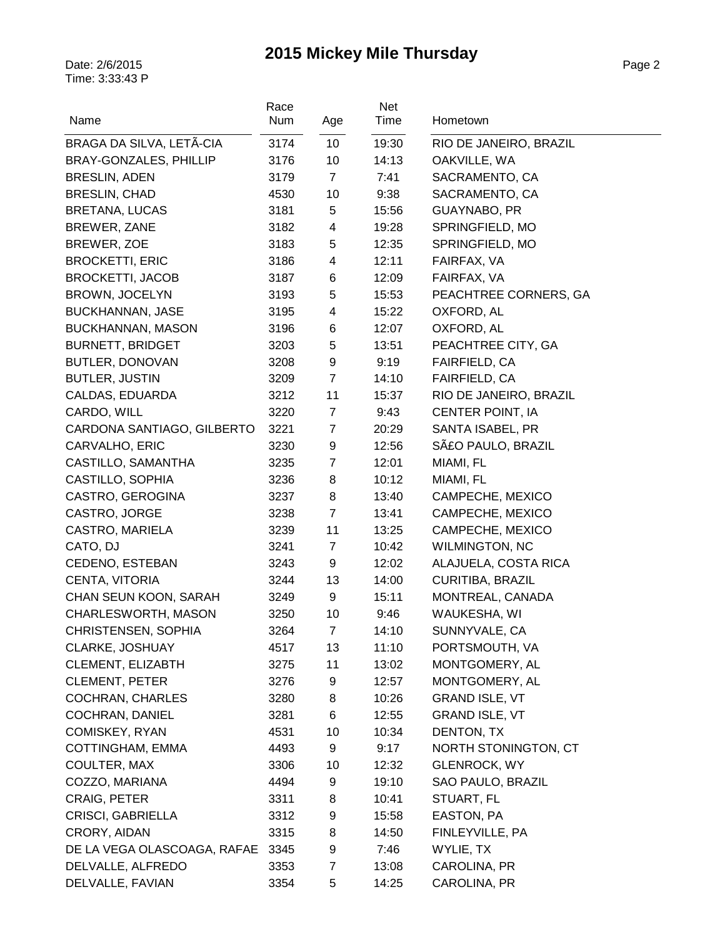| Name                        | Race<br>Num | Age                     | Net<br>Time | Hometown                               |
|-----------------------------|-------------|-------------------------|-------------|----------------------------------------|
| BRAGA DA SILVA, LETÃ-CIA    | 3174        | 10                      | 19:30       |                                        |
| BRAY-GONZALES, PHILLIP      | 3176        | 10                      | 14:13       | RIO DE JANEIRO, BRAZIL<br>OAKVILLE, WA |
| <b>BRESLIN, ADEN</b>        | 3179        | $\overline{7}$          | 7:41        | SACRAMENTO, CA                         |
| <b>BRESLIN, CHAD</b>        | 4530        | 10                      | 9:38        | SACRAMENTO, CA                         |
| BRETANA, LUCAS              | 3181        | 5                       | 15:56       | GUAYNABO, PR                           |
| BREWER, ZANE                | 3182        | $\overline{\mathbf{4}}$ | 19:28       | SPRINGFIELD, MO                        |
| BREWER, ZOE                 | 3183        | 5                       | 12:35       | SPRINGFIELD, MO                        |
| <b>BROCKETTI, ERIC</b>      | 3186        | 4                       | 12:11       | FAIRFAX, VA                            |
| <b>BROCKETTI, JACOB</b>     | 3187        | 6                       | 12:09       | FAIRFAX, VA                            |
| BROWN, JOCELYN              | 3193        | 5                       | 15:53       | PEACHTREE CORNERS, GA                  |
| <b>BUCKHANNAN, JASE</b>     | 3195        | 4                       | 15:22       | OXFORD, AL                             |
| BUCKHANNAN, MASON           | 3196        | 6                       | 12:07       | OXFORD, AL                             |
| <b>BURNETT, BRIDGET</b>     | 3203        | 5                       | 13:51       | PEACHTREE CITY, GA                     |
| <b>BUTLER, DONOVAN</b>      | 3208        | 9                       | 9:19        | FAIRFIELD, CA                          |
| <b>BUTLER, JUSTIN</b>       | 3209        | $\overline{7}$          | 14:10       | FAIRFIELD, CA                          |
| CALDAS, EDUARDA             | 3212        | 11                      | 15:37       | RIO DE JANEIRO, BRAZIL                 |
| CARDO, WILL                 | 3220        | $\overline{7}$          | 9:43        | CENTER POINT, IA                       |
| CARDONA SANTIAGO, GILBERTO  | 3221        | $\overline{7}$          | 20:29       | SANTA ISABEL, PR                       |
| CARVALHO, ERIC              | 3230        | 9                       | 12:56       | SãO PAULO, BRAZIL                      |
| CASTILLO, SAMANTHA          | 3235        | $\overline{7}$          | 12:01       | MIAMI, FL                              |
| CASTILLO, SOPHIA            | 3236        | 8                       | 10:12       | MIAMI, FL                              |
| CASTRO, GEROGINA            | 3237        | 8                       | 13:40       | CAMPECHE, MEXICO                       |
| CASTRO, JORGE               | 3238        | $\overline{7}$          | 13:41       | CAMPECHE, MEXICO                       |
| CASTRO, MARIELA             | 3239        | 11                      | 13:25       | CAMPECHE, MEXICO                       |
| CATO, DJ                    | 3241        | $\overline{7}$          | 10:42       | <b>WILMINGTON, NC</b>                  |
| CEDENO, ESTEBAN             | 3243        | 9                       | 12:02       | ALAJUELA, COSTA RICA                   |
| CENTA, VITORIA              | 3244        | 13                      | 14:00       | CURITIBA, BRAZIL                       |
| CHAN SEUN KOON, SARAH       | 3249        | 9                       | 15:11       | MONTREAL, CANADA                       |
| CHARLESWORTH, MASON         | 3250        | 10                      | 9:46        | WAUKESHA, WI                           |
| CHRISTENSEN, SOPHIA         | 3264        | 7                       | 14:10       | SUNNYVALE, CA                          |
| CLARKE, JOSHUAY             | 4517        | 13                      | 11:10       | PORTSMOUTH, VA                         |
| CLEMENT, ELIZABTH           | 3275        | 11                      | 13:02       | MONTGOMERY, AL                         |
| <b>CLEMENT, PETER</b>       | 3276        | 9                       | 12:57       | MONTGOMERY, AL                         |
| <b>COCHRAN, CHARLES</b>     | 3280        | 8                       | 10:26       | <b>GRAND ISLE, VT</b>                  |
| COCHRAN, DANIEL             | 3281        | 6                       | 12:55       | <b>GRAND ISLE, VT</b>                  |
| COMISKEY, RYAN              | 4531        | 10                      | 10:34       | DENTON, TX                             |
| COTTINGHAM, EMMA            | 4493        | 9                       | 9:17        | NORTH STONINGTON, CT                   |
| COULTER, MAX                | 3306        | 10                      | 12:32       | <b>GLENROCK, WY</b>                    |
| COZZO, MARIANA              | 4494        | 9                       | 19:10       | SAO PAULO, BRAZIL                      |
| CRAIG, PETER                | 3311        | 8                       | 10:41       | STUART, FL                             |
| CRISCI, GABRIELLA           | 3312        | 9                       | 15:58       | EASTON, PA                             |
| CRORY, AIDAN                | 3315        | 8                       | 14:50       | FINLEYVILLE, PA                        |
| DE LA VEGA OLASCOAGA, RAFAE | 3345        | 9                       | 7:46        | WYLIE, TX                              |
| DELVALLE, ALFREDO           | 3353        | 7                       | 13:08       | CAROLINA, PR                           |
| DELVALLE, FAVIAN            | 3354        | 5                       | 14:25       | CAROLINA, PR                           |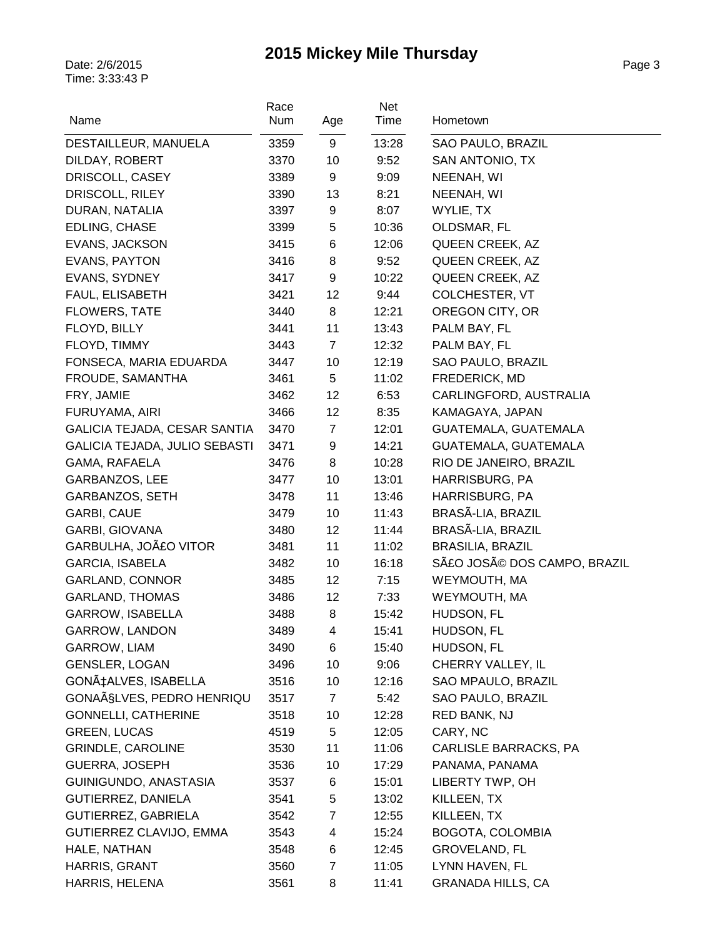| Name                                 | Race<br>Num | Age              | Net<br>Time | Hometown                   |
|--------------------------------------|-------------|------------------|-------------|----------------------------|
|                                      |             |                  |             |                            |
| DESTAILLEUR, MANUELA                 | 3359        | 9                | 13:28       | SAO PAULO, BRAZIL          |
| DILDAY, ROBERT                       | 3370        | 10               | 9:52        | SAN ANTONIO, TX            |
| DRISCOLL, CASEY                      | 3389        | 9                | 9:09        | NEENAH, WI                 |
| DRISCOLL, RILEY                      | 3390        | 13               | 8:21        | NEENAH, WI                 |
| DURAN, NATALIA                       | 3397        | 9                | 8:07        | WYLIE, TX                  |
| EDLING, CHASE                        | 3399        | 5                | 10:36       | OLDSMAR, FL                |
| EVANS, JACKSON                       | 3415        | 6                | 12:06       | QUEEN CREEK, AZ            |
| <b>EVANS, PAYTON</b>                 | 3416        | 8                | 9:52        | QUEEN CREEK, AZ            |
| EVANS, SYDNEY                        | 3417        | $\boldsymbol{9}$ | 10:22       | QUEEN CREEK, AZ            |
| FAUL, ELISABETH                      | 3421        | 12               | 9:44        | COLCHESTER, VT             |
| <b>FLOWERS, TATE</b>                 | 3440        | 8                | 12:21       | OREGON CITY, OR            |
| FLOYD, BILLY                         | 3441        | 11               | 13:43       | PALM BAY, FL               |
| FLOYD, TIMMY                         | 3443        | $\overline{7}$   | 12:32       | PALM BAY, FL               |
| FONSECA, MARIA EDUARDA               | 3447        | 10               | 12:19       | SAO PAULO, BRAZIL          |
| FROUDE, SAMANTHA                     | 3461        | $5\,$            | 11:02       | FREDERICK, MD              |
| FRY, JAMIE                           | 3462        | 12               | 6:53        | CARLINGFORD, AUSTRALIA     |
| FURUYAMA, AIRI                       | 3466        | 12               | 8:35        | KAMAGAYA, JAPAN            |
| GALICIA TEJADA, CESAR SANTIA         | 3470        | $\overline{7}$   | 12:01       | GUATEMALA, GUATEMALA       |
| <b>GALICIA TEJADA, JULIO SEBASTI</b> | 3471        | 9                | 14:21       | GUATEMALA, GUATEMALA       |
| GAMA, RAFAELA                        | 3476        | 8                | 10:28       | RIO DE JANEIRO, BRAZIL     |
| GARBANZOS, LEE                       | 3477        | 10               | 13:01       | HARRISBURG, PA             |
| GARBANZOS, SETH                      | 3478        | 11               | 13:46       | HARRISBURG, PA             |
| GARBI, CAUE                          | 3479        | 10               | 11:43       | BRASÃ-LIA, BRAZIL          |
| GARBI, GIOVANA                       | 3480        | 12               | 11:44       | BRASÃ-LIA, BRAZIL          |
| GARBULHA, JOãO VITOR                 | 3481        | 11               | 11:02       | <b>BRASILIA, BRAZIL</b>    |
| <b>GARCIA, ISABELA</b>               | 3482        | 10               | 16:18       | SãO JOSé DOS CAMPO, BRAZIL |
| <b>GARLAND, CONNOR</b>               | 3485        | 12               | 7:15        | WEYMOUTH, MA               |
| <b>GARLAND, THOMAS</b>               | 3486        | 12               | 7:33        | WEYMOUTH, MA               |
| GARROW, ISABELLA                     | 3488        | 8                | 15:42       | HUDSON, FL                 |
| GARROW, LANDON                       | 3489        | 4                | 15:41       | HUDSON, FL                 |
| GARROW, LIAM                         | 3490        | 6                | 15:40       | HUDSON, FL                 |
| <b>GENSLER, LOGAN</b>                | 3496        | 10               | 9:06        | CHERRY VALLEY, IL          |
| GONÇALVES, ISABELLA                  | 3516        | 10               | 12:16       | SAO MPAULO, BRAZIL         |
| GONAÃ SLVES, PEDRO HENRIQU           | 3517        | $\overline{7}$   | 5:42        | SAO PAULO, BRAZIL          |
| <b>GONNELLI, CATHERINE</b>           | 3518        | 10               | 12:28       | RED BANK, NJ               |
| <b>GREEN, LUCAS</b>                  | 4519        | 5                | 12:05       | CARY, NC                   |
| <b>GRINDLE, CAROLINE</b>             | 3530        | 11               | 11:06       | CARLISLE BARRACKS, PA      |
| <b>GUERRA, JOSEPH</b>                | 3536        | 10               | 17:29       | PANAMA, PANAMA             |
| GUINIGUNDO, ANASTASIA                | 3537        | 6                | 15:01       | LIBERTY TWP, OH            |
| GUTIERREZ, DANIELA                   | 3541        | 5                | 13:02       | KILLEEN, TX                |
| GUTIERREZ, GABRIELA                  | 3542        | 7                | 12:55       | KILLEEN, TX                |
| GUTIERREZ CLAVIJO, EMMA              | 3543        | 4                | 15:24       | BOGOTA, COLOMBIA           |
| HALE, NATHAN                         | 3548        | 6                | 12:45       | <b>GROVELAND, FL</b>       |
| HARRIS, GRANT                        | 3560        | $\overline{7}$   | 11:05       | LYNN HAVEN, FL             |
| HARRIS, HELENA                       | 3561        | 8                | 11:41       | <b>GRANADA HILLS, CA</b>   |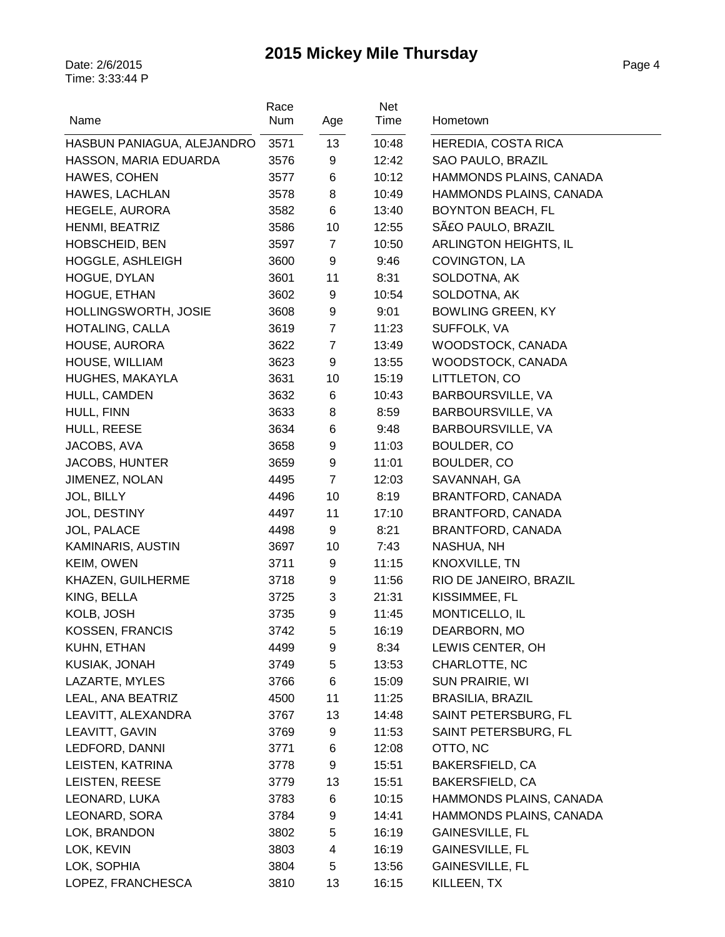| Name                       | Race<br>Num | Age            | Net<br>Time | Hometown                   |
|----------------------------|-------------|----------------|-------------|----------------------------|
| HASBUN PANIAGUA, ALEJANDRO | 3571        | 13             | 10:48       | <b>HEREDIA, COSTA RICA</b> |
| HASSON, MARIA EDUARDA      | 3576        | 9              | 12:42       | SAO PAULO, BRAZIL          |
| HAWES, COHEN               | 3577        | 6              | 10:12       | HAMMONDS PLAINS, CANADA    |
| HAWES, LACHLAN             | 3578        | 8              | 10:49       | HAMMONDS PLAINS, CANADA    |
| HEGELE, AURORA             | 3582        | 6              | 13:40       | <b>BOYNTON BEACH, FL</b>   |
| HENMI, BEATRIZ             | 3586        | 10             | 12:55       | SãO PAULO, BRAZIL          |
| HOBSCHEID, BEN             | 3597        | $\overline{7}$ | 10:50       | ARLINGTON HEIGHTS, IL      |
| <b>HOGGLE, ASHLEIGH</b>    | 3600        | 9              | 9:46        | COVINGTON, LA              |
| HOGUE, DYLAN               | 3601        | 11             | 8:31        | SOLDOTNA, AK               |
| HOGUE, ETHAN               | 3602        | 9              | 10:54       | SOLDOTNA, AK               |
| HOLLINGSWORTH, JOSIE       | 3608        | 9              | 9:01        | <b>BOWLING GREEN, KY</b>   |
| HOTALING, CALLA            | 3619        | $\overline{7}$ | 11:23       | SUFFOLK, VA                |
| HOUSE, AURORA              | 3622        | $\overline{7}$ | 13:49       | WOODSTOCK, CANADA          |
| HOUSE, WILLIAM             | 3623        | 9              | 13:55       | WOODSTOCK, CANADA          |
| HUGHES, MAKAYLA            | 3631        | 10             | 15:19       | LITTLETON, CO              |
| HULL, CAMDEN               | 3632        | 6              | 10:43       | BARBOURSVILLE, VA          |
| HULL, FINN                 | 3633        | 8              | 8:59        | BARBOURSVILLE, VA          |
| HULL, REESE                | 3634        | 6              | 9:48        | BARBOURSVILLE, VA          |
| JACOBS, AVA                | 3658        | 9              | 11:03       | BOULDER, CO                |
| JACOBS, HUNTER             | 3659        | 9              | 11:01       | BOULDER, CO                |
| JIMENEZ, NOLAN             | 4495        | $\overline{7}$ | 12:03       | SAVANNAH, GA               |
| JOL, BILLY                 | 4496        | 10             | 8:19        | BRANTFORD, CANADA          |
| JOL, DESTINY               | 4497        | 11             | 17:10       | BRANTFORD, CANADA          |
| JOL, PALACE                | 4498        | 9              | 8:21        | BRANTFORD, CANADA          |
| KAMINARIS, AUSTIN          | 3697        | 10             | 7:43        | NASHUA, NH                 |
| KEIM, OWEN                 | 3711        | 9              | 11:15       | KNOXVILLE, TN              |
| KHAZEN, GUILHERME          | 3718        | 9              | 11:56       | RIO DE JANEIRO, BRAZIL     |
| KING, BELLA                | 3725        | 3              | 21:31       | KISSIMMEE, FL              |
| KOLB, JOSH                 | 3735        | 9              | 11:45       | MONTICELLO, IL             |
| KOSSEN, FRANCIS            | 3742        | 5              | 16:19       | DEARBORN, MO               |
| KUHN, ETHAN                | 4499        | 9              | 8:34        | LEWIS CENTER, OH           |
| KUSIAK, JONAH              | 3749        | 5              | 13:53       | CHARLOTTE, NC              |
| LAZARTE, MYLES             | 3766        | 6              | 15:09       | SUN PRAIRIE, WI            |
| LEAL, ANA BEATRIZ          | 4500        | 11             | 11:25       | <b>BRASILIA, BRAZIL</b>    |
| LEAVITT, ALEXANDRA         | 3767        | 13             | 14:48       | SAINT PETERSBURG, FL       |
| LEAVITT, GAVIN             | 3769        | 9              | 11:53       | SAINT PETERSBURG, FL       |
| LEDFORD, DANNI             | 3771        | 6              | 12:08       | OTTO, NC                   |
| LEISTEN, KATRINA           | 3778        | 9              | 15:51       | BAKERSFIELD, CA            |
| LEISTEN, REESE             | 3779        | 13             | 15:51       | <b>BAKERSFIELD, CA</b>     |
| LEONARD, LUKA              | 3783        | 6              | 10:15       | HAMMONDS PLAINS, CANADA    |
| LEONARD, SORA              | 3784        | 9              | 14:41       | HAMMONDS PLAINS, CANADA    |
| LOK, BRANDON               | 3802        | 5              | 16:19       | GAINESVILLE, FL            |
| LOK, KEVIN                 | 3803        | 4              | 16:19       | <b>GAINESVILLE, FL</b>     |
| LOK, SOPHIA                | 3804        | 5              | 13:56       | <b>GAINESVILLE, FL</b>     |
| LOPEZ, FRANCHESCA          | 3810        | 13             | 16:15       | KILLEEN, TX                |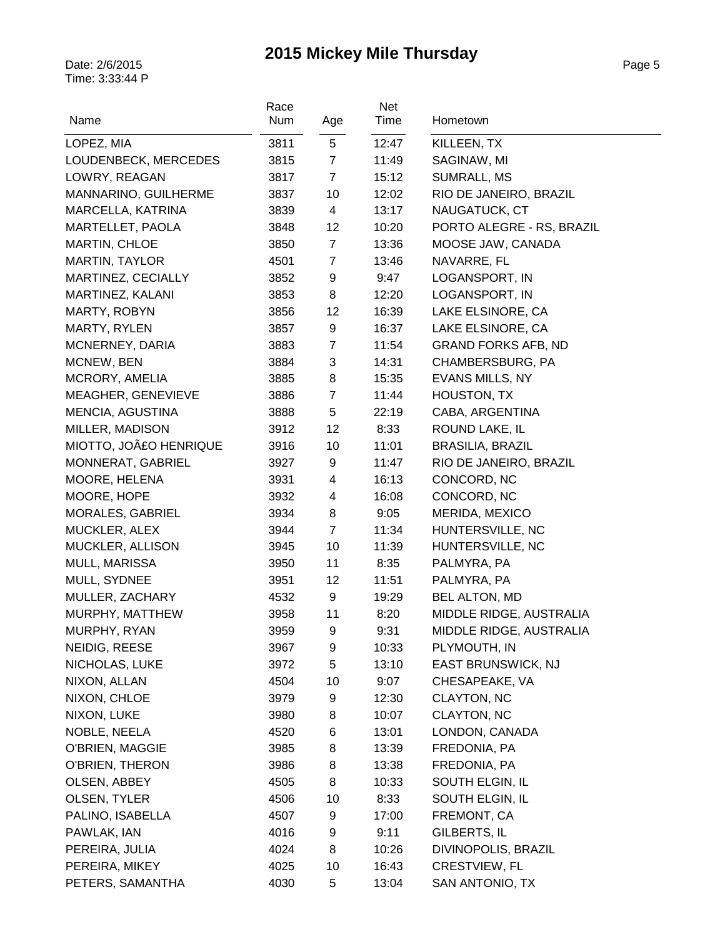| Time<br>Name<br>Num<br>Hometown<br>Age<br>5<br>3811<br>12:47<br>LOPEZ, MIA<br>KILLEEN, TX<br>$\overline{7}$<br>LOUDENBECK, MERCEDES<br>3815<br>11:49<br>SAGINAW, MI |  |
|---------------------------------------------------------------------------------------------------------------------------------------------------------------------|--|
|                                                                                                                                                                     |  |
|                                                                                                                                                                     |  |
|                                                                                                                                                                     |  |
| $\overline{7}$<br>LOWRY, REAGAN<br>3817<br>15:12<br><b>SUMRALL, MS</b>                                                                                              |  |
| MANNARINO, GUILHERME<br>10<br>RIO DE JANEIRO, BRAZIL<br>3837<br>12:02                                                                                               |  |
| MARCELLA, KATRINA<br>4<br>NAUGATUCK, CT<br>3839<br>13:17                                                                                                            |  |
| 12<br>PORTO ALEGRE - RS, BRAZIL<br>MARTELLET, PAOLA<br>3848<br>10:20                                                                                                |  |
| $\overline{7}$<br>MARTIN, CHLOE<br>MOOSE JAW, CANADA<br>3850<br>13:36                                                                                               |  |
| $\overline{7}$<br>MARTIN, TAYLOR<br>NAVARRE, FL<br>4501<br>13:46                                                                                                    |  |
| MARTINEZ, CECIALLY<br>9<br>LOGANSPORT, IN<br>3852<br>9:47                                                                                                           |  |
| 8<br>MARTINEZ, KALANI<br>LOGANSPORT, IN<br>3853<br>12:20                                                                                                            |  |
| MARTY, ROBYN<br>12<br>LAKE ELSINORE, CA<br>3856<br>16:39                                                                                                            |  |
| 9<br>3857<br>16:37<br>LAKE ELSINORE, CA<br>MARTY, RYLEN                                                                                                             |  |
| $\overline{7}$<br>MCNERNEY, DARIA<br><b>GRAND FORKS AFB, ND</b><br>3883<br>11:54                                                                                    |  |
| CHAMBERSBURG, PA<br>MCNEW, BEN<br>3<br>14:31<br>3884                                                                                                                |  |
| 8<br>MCRORY, AMELIA<br>EVANS MILLS, NY<br>3885<br>15:35                                                                                                             |  |
| $\overline{7}$<br>MEAGHER, GENEVIEVE<br>3886<br>HOUSTON, TX<br>11:44                                                                                                |  |
| 5<br>CABA, ARGENTINA<br>MENCIA, AGUSTINA<br>3888<br>22:19                                                                                                           |  |
| MILLER, MADISON<br>12<br>8:33<br>ROUND LAKE, IL<br>3912                                                                                                             |  |
| MIOTTO, JOãO HENRIQUE<br>10<br>11:01<br><b>BRASILIA, BRAZIL</b><br>3916                                                                                             |  |
| MONNERAT, GABRIEL<br>9<br>11:47<br>RIO DE JANEIRO, BRAZIL<br>3927                                                                                                   |  |
| $\overline{4}$<br>MOORE, HELENA<br>CONCORD, NC<br>3931<br>16:13                                                                                                     |  |
| MOORE, HOPE<br>4<br>16:08<br>CONCORD, NC<br>3932                                                                                                                    |  |
| 8<br>MORALES, GABRIEL<br>9:05<br>MERIDA, MEXICO<br>3934                                                                                                             |  |
| $\overline{7}$<br>MUCKLER, ALEX<br>11:34<br>HUNTERSVILLE, NC<br>3944                                                                                                |  |
| 10<br>HUNTERSVILLE, NC<br>MUCKLER, ALLISON<br>11:39<br>3945                                                                                                         |  |
| MULL, MARISSA<br>11<br>PALMYRA, PA<br>3950<br>8:35                                                                                                                  |  |
| 12<br>MULL, SYDNEE<br>3951<br>11:51<br>PALMYRA, PA                                                                                                                  |  |
| 9<br>19:29<br><b>BEL ALTON, MD</b><br>MULLER, ZACHARY<br>4532                                                                                                       |  |
| 11<br>MURPHY, MATTHEW<br>8:20<br>MIDDLE RIDGE, AUSTRALIA<br>3958                                                                                                    |  |
| 3959<br>9<br>9:31<br>MIDDLE RIDGE, AUSTRALIA<br>MURPHY, RYAN                                                                                                        |  |
| NEIDIG, REESE<br>PLYMOUTH, IN<br>3967<br>9<br>10:33                                                                                                                 |  |
| 5<br>NICHOLAS, LUKE<br>EAST BRUNSWICK, NJ<br>3972<br>13:10                                                                                                          |  |
| NIXON, ALLAN<br>4504<br>10<br>9:07<br>CHESAPEAKE, VA                                                                                                                |  |
| NIXON, CHLOE<br>9<br>CLAYTON, NC<br>3979<br>12:30                                                                                                                   |  |
| NIXON, LUKE<br>CLAYTON, NC<br>3980<br>8<br>10:07                                                                                                                    |  |
| NOBLE, NEELA<br>LONDON, CANADA<br>4520<br>13:01<br>6                                                                                                                |  |
| O'BRIEN, MAGGIE<br>8<br>FREDONIA, PA<br>3985<br>13:39                                                                                                               |  |
| O'BRIEN, THERON<br>8<br>FREDONIA, PA<br>3986<br>13:38                                                                                                               |  |
| OLSEN, ABBEY<br>8<br>10:33<br>SOUTH ELGIN, IL<br>4505                                                                                                               |  |
| OLSEN, TYLER<br>8:33<br>SOUTH ELGIN, IL<br>4506<br>10                                                                                                               |  |
| PALINO, ISABELLA<br>4507<br>FREMONT, CA<br>17:00<br>9                                                                                                               |  |
| PAWLAK, IAN<br>9<br>9:11<br>GILBERTS, IL<br>4016                                                                                                                    |  |
| 8<br>DIVINOPOLIS, BRAZIL<br>PEREIRA, JULIA<br>4024<br>10:26                                                                                                         |  |
| CRESTVIEW, FL<br>PEREIRA, MIKEY<br>4025<br>10<br>16:43                                                                                                              |  |
| PETERS, SAMANTHA<br>5<br>SAN ANTONIO, TX<br>4030<br>13:04                                                                                                           |  |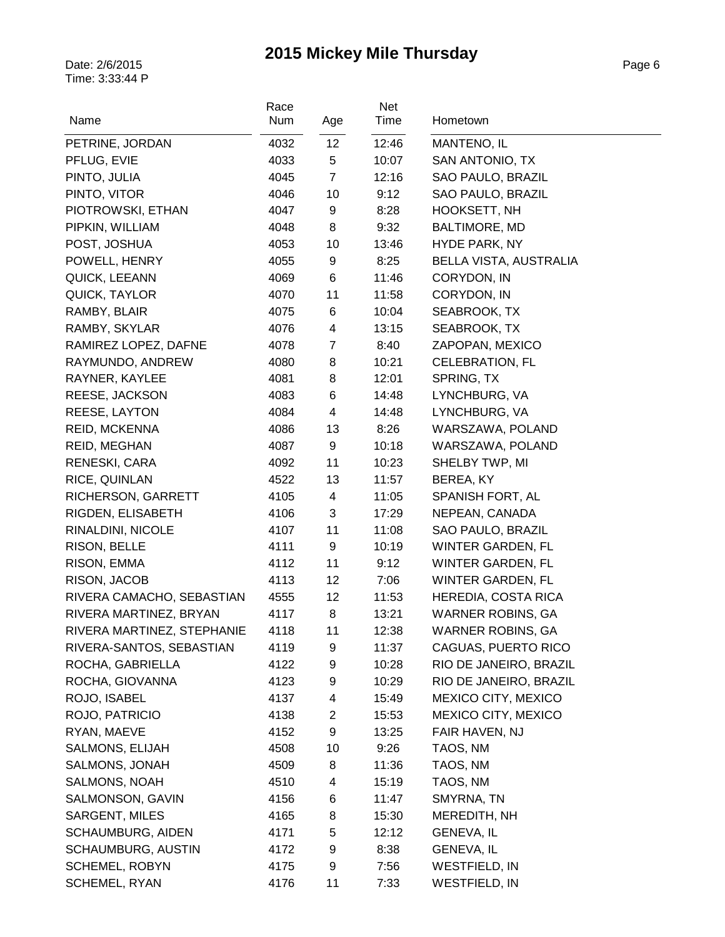| Name                       | Race<br>Num | Age                     | Net<br>Time | Hometown                 |
|----------------------------|-------------|-------------------------|-------------|--------------------------|
| PETRINE, JORDAN            | 4032        | 12                      | 12:46       | MANTENO, IL              |
| PFLUG, EVIE                | 4033        | 5                       | 10:07       | SAN ANTONIO, TX          |
| PINTO, JULIA               | 4045        | $\overline{7}$          | 12:16       | SAO PAULO, BRAZIL        |
| PINTO, VITOR               | 4046        | 10                      | 9:12        | SAO PAULO, BRAZIL        |
| PIOTROWSKI, ETHAN          | 4047        | 9                       | 8:28        | <b>HOOKSETT, NH</b>      |
| PIPKIN, WILLIAM            | 4048        | 8                       | 9:32        | <b>BALTIMORE, MD</b>     |
| POST, JOSHUA               | 4053        | 10                      | 13:46       | <b>HYDE PARK, NY</b>     |
| POWELL, HENRY              | 4055        | 9                       | 8:25        | BELLA VISTA, AUSTRALIA   |
| QUICK, LEEANN              | 4069        | 6                       | 11:46       | CORYDON, IN              |
| QUICK, TAYLOR              | 4070        | 11                      | 11:58       | CORYDON, IN              |
| RAMBY, BLAIR               | 4075        | 6                       | 10:04       | SEABROOK, TX             |
| RAMBY, SKYLAR              | 4076        | $\overline{\mathbf{4}}$ | 13:15       | SEABROOK, TX             |
| RAMIREZ LOPEZ, DAFNE       | 4078        | $\overline{7}$          | 8:40        | ZAPOPAN, MEXICO          |
| RAYMUNDO, ANDREW           | 4080        | 8                       | 10:21       | <b>CELEBRATION, FL</b>   |
| RAYNER, KAYLEE             | 4081        | 8                       | 12:01       | SPRING, TX               |
| REESE, JACKSON             | 4083        | 6                       | 14:48       | LYNCHBURG, VA            |
| REESE, LAYTON              | 4084        | 4                       | 14:48       | LYNCHBURG, VA            |
| REID, MCKENNA              | 4086        | 13                      | 8:26        | WARSZAWA, POLAND         |
| <b>REID, MEGHAN</b>        | 4087        | 9                       | 10:18       | WARSZAWA, POLAND         |
| RENESKI, CARA              | 4092        | 11                      | 10:23       | SHELBY TWP, MI           |
| RICE, QUINLAN              | 4522        | 13                      | 11:57       | BEREA, KY                |
| RICHERSON, GARRETT         | 4105        | $\overline{\mathbf{4}}$ | 11:05       | SPANISH FORT, AL         |
| RIGDEN, ELISABETH          | 4106        | 3                       | 17:29       | NEPEAN, CANADA           |
| RINALDINI, NICOLE          | 4107        | 11                      | 11:08       | SAO PAULO, BRAZIL        |
| RISON, BELLE               | 4111        | 9                       | 10:19       | WINTER GARDEN, FL        |
| RISON, EMMA                | 4112        | 11                      | 9:12        | WINTER GARDEN, FL        |
| RISON, JACOB               | 4113        | 12                      | 7:06        | <b>WINTER GARDEN, FL</b> |
| RIVERA CAMACHO, SEBASTIAN  | 4555        | 12                      | 11:53       | HEREDIA, COSTA RICA      |
| RIVERA MARTINEZ, BRYAN     | 4117        | 8                       | 13:21       | <b>WARNER ROBINS, GA</b> |
| RIVERA MARTINEZ, STEPHANIE | 4118        | 11                      | 12:38       | WARNER ROBINS, GA        |
| RIVERA-SANTOS, SEBASTIAN   | 4119        | 9                       | 11:37       | CAGUAS, PUERTO RICO      |
| ROCHA, GABRIELLA           | 4122        | 9                       | 10:28       | RIO DE JANEIRO, BRAZIL   |
| ROCHA, GIOVANNA            | 4123        | 9                       | 10:29       | RIO DE JANEIRO, BRAZIL   |
| ROJO, ISABEL               | 4137        | 4                       | 15:49       | MEXICO CITY, MEXICO      |
| ROJO, PATRICIO             | 4138        | $\overline{c}$          | 15:53       | MEXICO CITY, MEXICO      |
| RYAN, MAEVE                | 4152        | 9                       | 13:25       | FAIR HAVEN, NJ           |
| SALMONS, ELIJAH            | 4508        | 10                      | 9:26        | TAOS, NM                 |
| SALMONS, JONAH             | 4509        | 8                       | 11:36       | TAOS, NM                 |
| SALMONS, NOAH              | 4510        | 4                       | 15:19       | TAOS, NM                 |
| SALMONSON, GAVIN           | 4156        | 6                       | 11:47       | SMYRNA, TN               |
| SARGENT, MILES             | 4165        | 8                       | 15:30       | MEREDITH, NH             |
| <b>SCHAUMBURG, AIDEN</b>   | 4171        | 5                       | 12:12       | <b>GENEVA, IL</b>        |
| SCHAUMBURG, AUSTIN         | 4172        | 9                       | 8:38        | <b>GENEVA, IL</b>        |
| SCHEMEL, ROBYN             | 4175        | 9                       | 7:56        | <b>WESTFIELD, IN</b>     |
| SCHEMEL, RYAN              | 4176        | 11                      | 7:33        | <b>WESTFIELD, IN</b>     |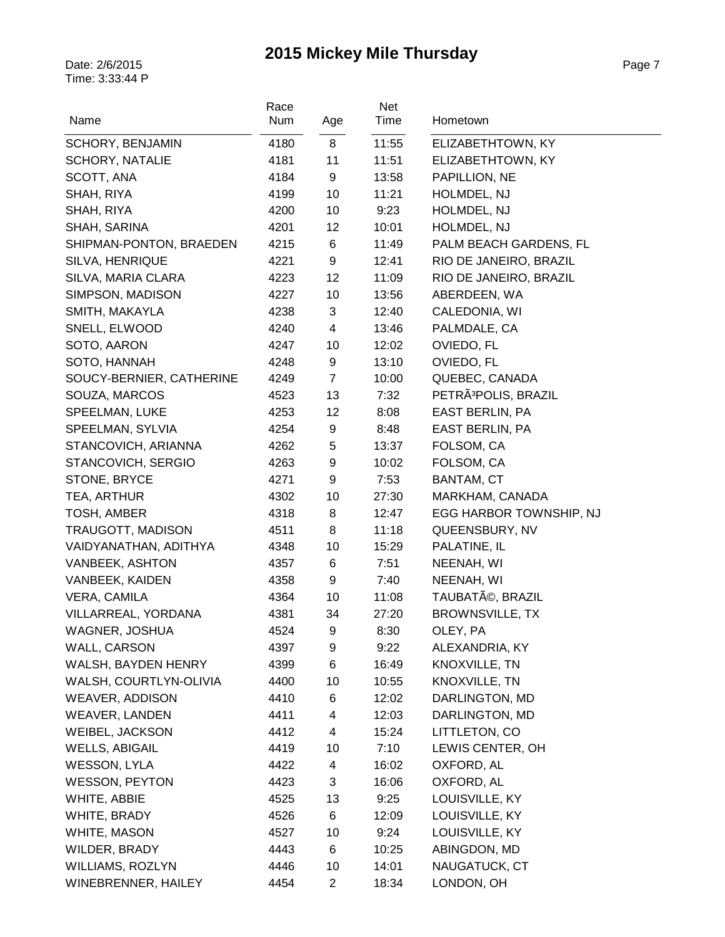| Name                     | Race<br>Num | Age            | Net<br>Time | Hometown                         |
|--------------------------|-------------|----------------|-------------|----------------------------------|
| <b>SCHORY, BENJAMIN</b>  | 4180        | 8              | 11:55       | ELIZABETHTOWN, KY                |
| <b>SCHORY, NATALIE</b>   | 4181        | 11             | 11:51       | ELIZABETHTOWN, KY                |
| SCOTT, ANA               | 4184        | 9              | 13:58       | PAPILLION, NE                    |
| SHAH, RIYA               | 4199        | 10             | 11:21       | HOLMDEL, NJ                      |
| SHAH, RIYA               | 4200        | 10             | 9:23        | HOLMDEL, NJ                      |
| SHAH, SARINA             | 4201        | 12             | 10:01       | HOLMDEL, NJ                      |
| SHIPMAN-PONTON, BRAEDEN  | 4215        | 6              | 11:49       | PALM BEACH GARDENS, FL           |
| SILVA, HENRIQUE          | 4221        | 9              | 12:41       | RIO DE JANEIRO, BRAZIL           |
| SILVA, MARIA CLARA       | 4223        | 12             | 11:09       | RIO DE JANEIRO, BRAZIL           |
| SIMPSON, MADISON         | 4227        | 10             | 13:56       | ABERDEEN, WA                     |
| SMITH, MAKAYLA           | 4238        | 3              | 12:40       | CALEDONIA, WI                    |
| SNELL, ELWOOD            | 4240        | $\overline{4}$ | 13:46       | PALMDALE, CA                     |
| SOTO, AARON              | 4247        | 10             | 12:02       | OVIEDO, FL                       |
| SOTO, HANNAH             | 4248        | 9              | 13:10       | OVIEDO, FL                       |
| SOUCY-BERNIER, CATHERINE | 4249        | $\overline{7}$ | 10:00       | QUEBEC, CANADA                   |
| SOUZA, MARCOS            | 4523        | 13             | 7:32        | PETRÃ <sup>3</sup> POLIS, BRAZIL |
| SPEELMAN, LUKE           | 4253        | 12             | 8:08        | EAST BERLIN, PA                  |
| SPEELMAN, SYLVIA         | 4254        | 9              | 8:48        | <b>EAST BERLIN, PA</b>           |
| STANCOVICH, ARIANNA      | 4262        | 5              | 13:37       | FOLSOM, CA                       |
| STANCOVICH, SERGIO       | 4263        | 9              | 10:02       | FOLSOM, CA                       |
| STONE, BRYCE             | 4271        | 9              | 7:53        | BANTAM, CT                       |
| TEA, ARTHUR              | 4302        | 10             | 27:30       | MARKHAM, CANADA                  |
| TOSH, AMBER              | 4318        | 8              | 12:47       | EGG HARBOR TOWNSHIP, NJ          |
| <b>TRAUGOTT, MADISON</b> | 4511        | 8              | 11:18       | QUEENSBURY, NV                   |
| VAIDYANATHAN, ADITHYA    | 4348        | 10             | 15:29       | PALATINE, IL                     |
| <b>VANBEEK, ASHTON</b>   | 4357        | 6              | 7:51        | NEENAH, WI                       |
| VANBEEK, KAIDEN          | 4358        | 9              | 7:40        | NEENAH, WI                       |
| VERA, CAMILA             | 4364        | 10             | 11:08       | TAUBATé, BRAZIL                  |
| VILLARREAL, YORDANA      | 4381        | 34             | 27:20       | <b>BROWNSVILLE, TX</b>           |
| WAGNER, JOSHUA           | 4524        | 9              | 8:30        | OLEY, PA                         |
| WALL, CARSON             | 4397        | 9              | 9:22        | ALEXANDRIA, KY                   |
| WALSH, BAYDEN HENRY      | 4399        | 6              | 16:49       | KNOXVILLE, TN                    |
| WALSH, COURTLYN-OLIVIA   | 4400        | 10             | 10:55       | KNOXVILLE, TN                    |
| WEAVER, ADDISON          | 4410        | 6              | 12:02       | DARLINGTON, MD                   |
| <b>WEAVER, LANDEN</b>    | 4411        | 4              | 12:03       | DARLINGTON, MD                   |
| WEIBEL, JACKSON          | 4412        | 4              | 15:24       | LITTLETON, CO                    |
| <b>WELLS, ABIGAIL</b>    | 4419        | 10             | 7:10        | LEWIS CENTER, OH                 |
| <b>WESSON, LYLA</b>      | 4422        | 4              | 16:02       | OXFORD, AL                       |
| <b>WESSON, PEYTON</b>    | 4423        | 3              | 16:06       | OXFORD, AL                       |
| WHITE, ABBIE             | 4525        | 13             | 9:25        | LOUISVILLE, KY                   |
| WHITE, BRADY             | 4526        | 6              | 12:09       | LOUISVILLE, KY                   |
| WHITE, MASON             | 4527        | 10             | 9:24        | LOUISVILLE, KY                   |
| WILDER, BRADY            | 4443        | 6              | 10:25       | ABINGDON, MD                     |
| WILLIAMS, ROZLYN         | 4446        | 10             | 14:01       | NAUGATUCK, CT                    |
| WINEBRENNER, HAILEY      | 4454        | $\overline{2}$ | 18:34       | LONDON, OH                       |